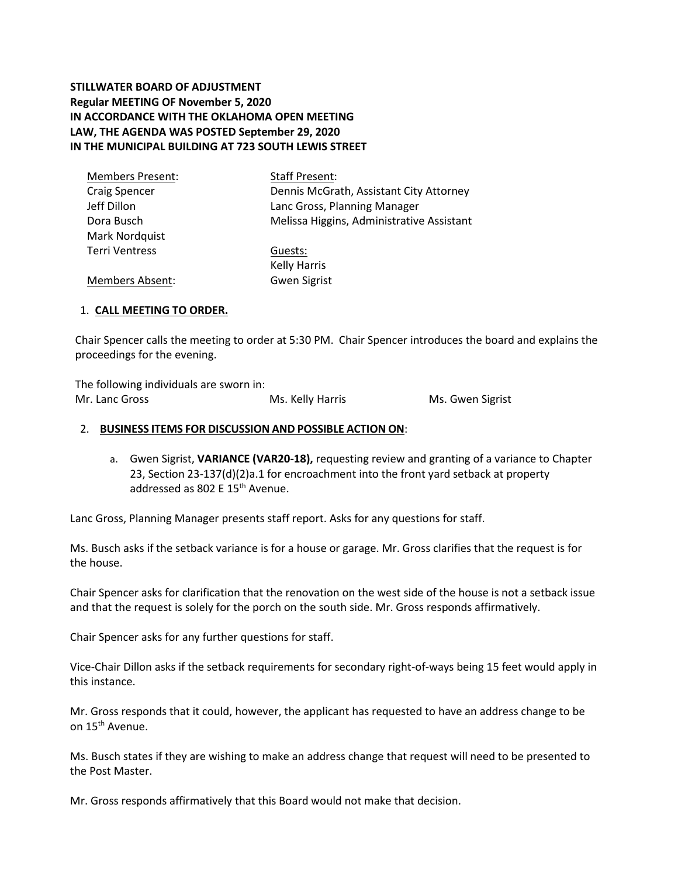# **STILLWATER BOARD OF ADJUSTMENT Regular MEETING OF November 5, 2020 IN ACCORDANCE WITH THE OKLAHOMA OPEN MEETING LAW, THE AGENDA WAS POSTED September 29, 2020 IN THE MUNICIPAL BUILDING AT 723 SOUTH LEWIS STREET**

| <b>Members Present:</b> | <b>Staff Present:</b>                     |
|-------------------------|-------------------------------------------|
| <b>Craig Spencer</b>    | Dennis McGrath, Assistant City Attorney   |
| Jeff Dillon             | Lanc Gross, Planning Manager              |
| Dora Busch              | Melissa Higgins, Administrative Assistant |
| Mark Nordquist          |                                           |
| <b>Terri Ventress</b>   | Guests:                                   |
|                         | <b>Kelly Harris</b>                       |
| <b>Members Absent:</b>  | <b>Gwen Sigrist</b>                       |

## 1. **CALL MEETING TO ORDER.**

Chair Spencer calls the meeting to order at 5:30 PM. Chair Spencer introduces the board and explains the proceedings for the evening.

The following individuals are sworn in: Mr. Lanc Gross **Mr. Lanc Gross** Ms. Kelly Harris Ms. Gwen Sigrist

### 2. **BUSINESS ITEMS FOR DISCUSSION AND POSSIBLE ACTION ON**:

a. Gwen Sigrist, **VARIANCE (VAR20-18),** requesting review and granting of a variance to Chapter 23, Section 23-137(d)(2)a.1 for encroachment into the front yard setback at property addressed as 802 E 15<sup>th</sup> Avenue.

Lanc Gross, Planning Manager presents staff report. Asks for any questions for staff.

Ms. Busch asks if the setback variance is for a house or garage. Mr. Gross clarifies that the request is for the house.

Chair Spencer asks for clarification that the renovation on the west side of the house is not a setback issue and that the request is solely for the porch on the south side. Mr. Gross responds affirmatively.

Chair Spencer asks for any further questions for staff.

Vice-Chair Dillon asks if the setback requirements for secondary right-of-ways being 15 feet would apply in this instance.

Mr. Gross responds that it could, however, the applicant has requested to have an address change to be on 15<sup>th</sup> Avenue.

Ms. Busch states if they are wishing to make an address change that request will need to be presented to the Post Master.

Mr. Gross responds affirmatively that this Board would not make that decision.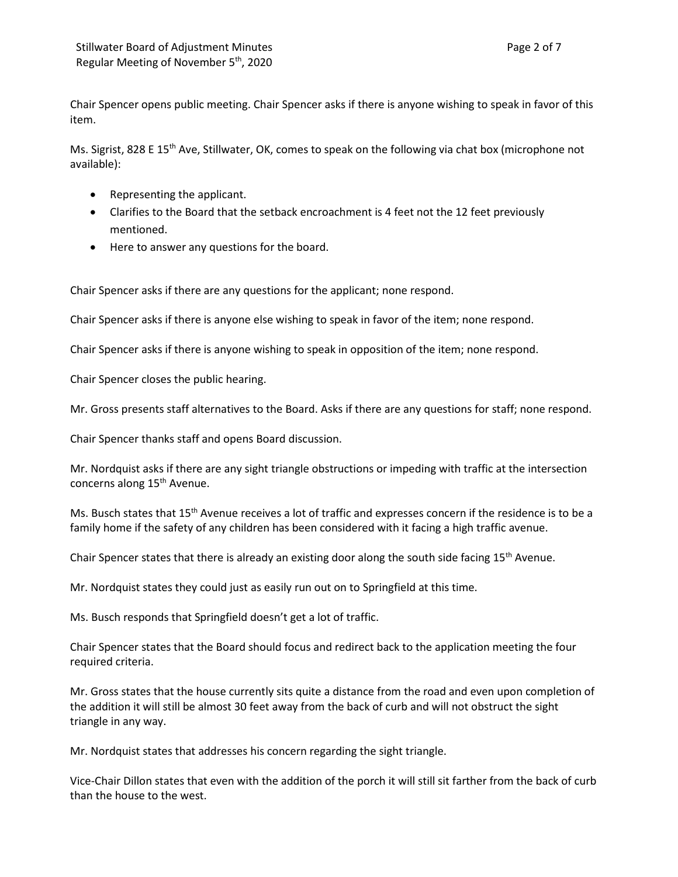Chair Spencer opens public meeting. Chair Spencer asks if there is anyone wishing to speak in favor of this item.

Ms. Sigrist, 828 E 15<sup>th</sup> Ave, Stillwater, OK, comes to speak on the following via chat box (microphone not available):

- Representing the applicant.
- Clarifies to the Board that the setback encroachment is 4 feet not the 12 feet previously mentioned.
- Here to answer any questions for the board.

Chair Spencer asks if there are any questions for the applicant; none respond.

Chair Spencer asks if there is anyone else wishing to speak in favor of the item; none respond.

Chair Spencer asks if there is anyone wishing to speak in opposition of the item; none respond.

Chair Spencer closes the public hearing.

Mr. Gross presents staff alternatives to the Board. Asks if there are any questions for staff; none respond.

Chair Spencer thanks staff and opens Board discussion.

Mr. Nordquist asks if there are any sight triangle obstructions or impeding with traffic at the intersection concerns along 15<sup>th</sup> Avenue.

Ms. Busch states that 15th Avenue receives a lot of traffic and expresses concern if the residence is to be a family home if the safety of any children has been considered with it facing a high traffic avenue.

Chair Spencer states that there is already an existing door along the south side facing 15<sup>th</sup> Avenue.

Mr. Nordquist states they could just as easily run out on to Springfield at this time.

Ms. Busch responds that Springfield doesn't get a lot of traffic.

Chair Spencer states that the Board should focus and redirect back to the application meeting the four required criteria.

Mr. Gross states that the house currently sits quite a distance from the road and even upon completion of the addition it will still be almost 30 feet away from the back of curb and will not obstruct the sight triangle in any way.

Mr. Nordquist states that addresses his concern regarding the sight triangle.

Vice-Chair Dillon states that even with the addition of the porch it will still sit farther from the back of curb than the house to the west.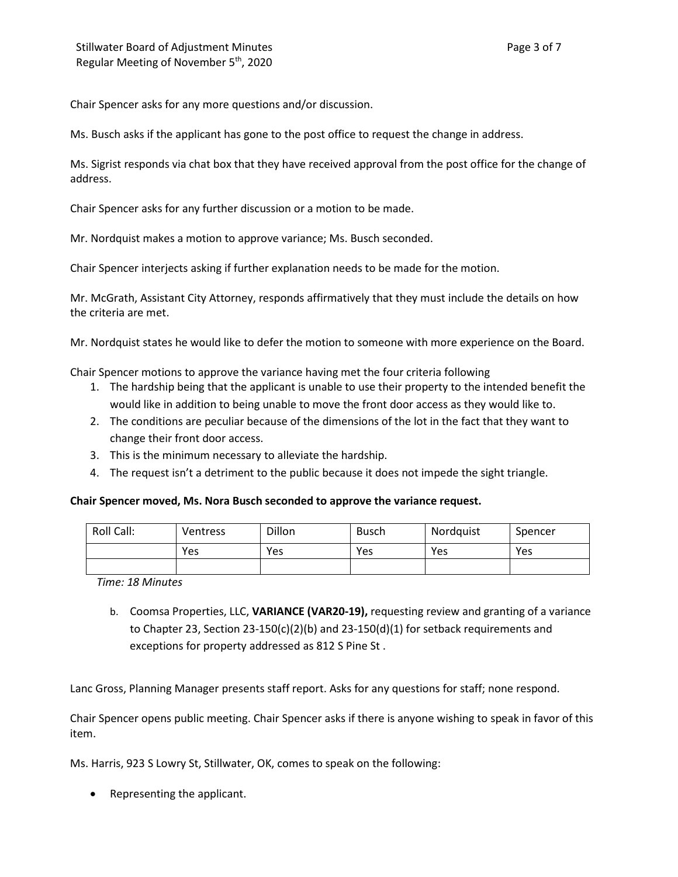Chair Spencer asks for any more questions and/or discussion.

Ms. Busch asks if the applicant has gone to the post office to request the change in address.

Ms. Sigrist responds via chat box that they have received approval from the post office for the change of address.

Chair Spencer asks for any further discussion or a motion to be made.

Mr. Nordquist makes a motion to approve variance; Ms. Busch seconded.

Chair Spencer interjects asking if further explanation needs to be made for the motion.

Mr. McGrath, Assistant City Attorney, responds affirmatively that they must include the details on how the criteria are met.

Mr. Nordquist states he would like to defer the motion to someone with more experience on the Board.

Chair Spencer motions to approve the variance having met the four criteria following

- 1. The hardship being that the applicant is unable to use their property to the intended benefit the would like in addition to being unable to move the front door access as they would like to.
- 2. The conditions are peculiar because of the dimensions of the lot in the fact that they want to change their front door access.
- 3. This is the minimum necessary to alleviate the hardship.
- 4. The request isn't a detriment to the public because it does not impede the sight triangle.

## **Chair Spencer moved, Ms. Nora Busch seconded to approve the variance request.**

| Roll Call: | <b>Ventress</b> | Dillon | <b>Busch</b> | Nordquist | Spencer |
|------------|-----------------|--------|--------------|-----------|---------|
|            | Yes             | Yes    | Yes          | Yes       | Yes     |
|            |                 |        |              |           |         |

*Time: 18 Minutes*

b. Coomsa Properties, LLC, **VARIANCE (VAR20-19),** requesting review and granting of a variance to Chapter 23, Section  $23-150(c)(2)(b)$  and  $23-150(d)(1)$  for setback requirements and exceptions for property addressed as 812 S Pine St .

Lanc Gross, Planning Manager presents staff report. Asks for any questions for staff; none respond.

Chair Spencer opens public meeting. Chair Spencer asks if there is anyone wishing to speak in favor of this item.

Ms. Harris, 923 S Lowry St, Stillwater, OK, comes to speak on the following:

• Representing the applicant.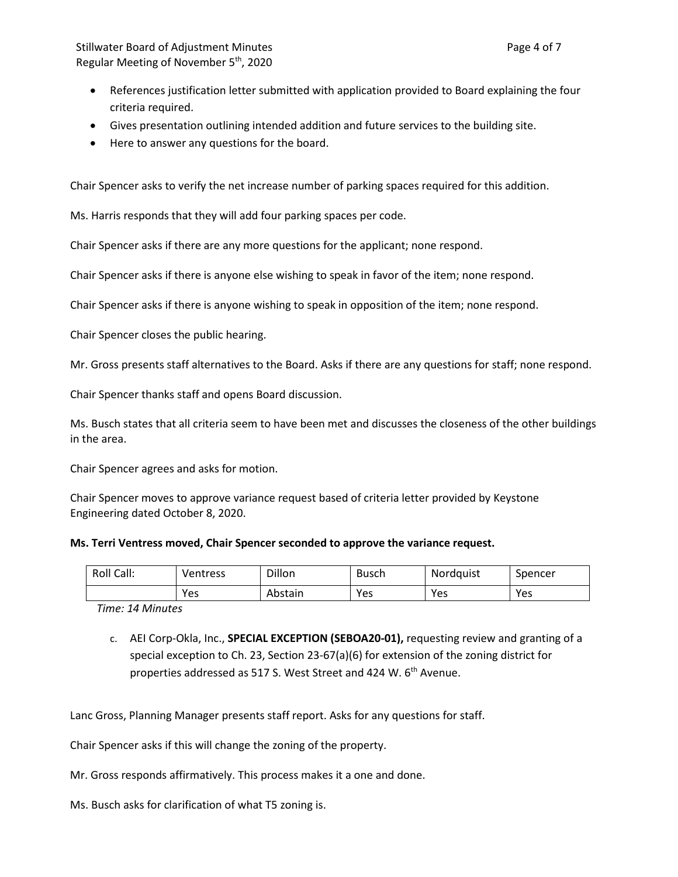- References justification letter submitted with application provided to Board explaining the four criteria required.
- Gives presentation outlining intended addition and future services to the building site.
- Here to answer any questions for the board.

Chair Spencer asks to verify the net increase number of parking spaces required for this addition.

Ms. Harris responds that they will add four parking spaces per code.

Chair Spencer asks if there are any more questions for the applicant; none respond.

Chair Spencer asks if there is anyone else wishing to speak in favor of the item; none respond.

Chair Spencer asks if there is anyone wishing to speak in opposition of the item; none respond.

Chair Spencer closes the public hearing.

Mr. Gross presents staff alternatives to the Board. Asks if there are any questions for staff; none respond.

Chair Spencer thanks staff and opens Board discussion.

Ms. Busch states that all criteria seem to have been met and discusses the closeness of the other buildings in the area.

Chair Spencer agrees and asks for motion.

Chair Spencer moves to approve variance request based of criteria letter provided by Keystone Engineering dated October 8, 2020.

### **Ms. Terri Ventress moved, Chair Spencer seconded to approve the variance request.**

| Roll Call: | Ventress | Dillon  | <b>Busch</b> | Nordquist | Spencer |
|------------|----------|---------|--------------|-----------|---------|
|            | Yes      | Abstain | Yes          | Yes       | Yes     |

*Time: 14 Minutes*

c. AEI Corp-Okla, Inc., **SPECIAL EXCEPTION (SEBOA20-01),** requesting review and granting of a special exception to Ch. 23, Section 23-67(a)(6) for extension of the zoning district for properties addressed as 517 S. West Street and 424 W. 6<sup>th</sup> Avenue.

Lanc Gross, Planning Manager presents staff report. Asks for any questions for staff.

Chair Spencer asks if this will change the zoning of the property.

Mr. Gross responds affirmatively. This process makes it a one and done.

Ms. Busch asks for clarification of what T5 zoning is.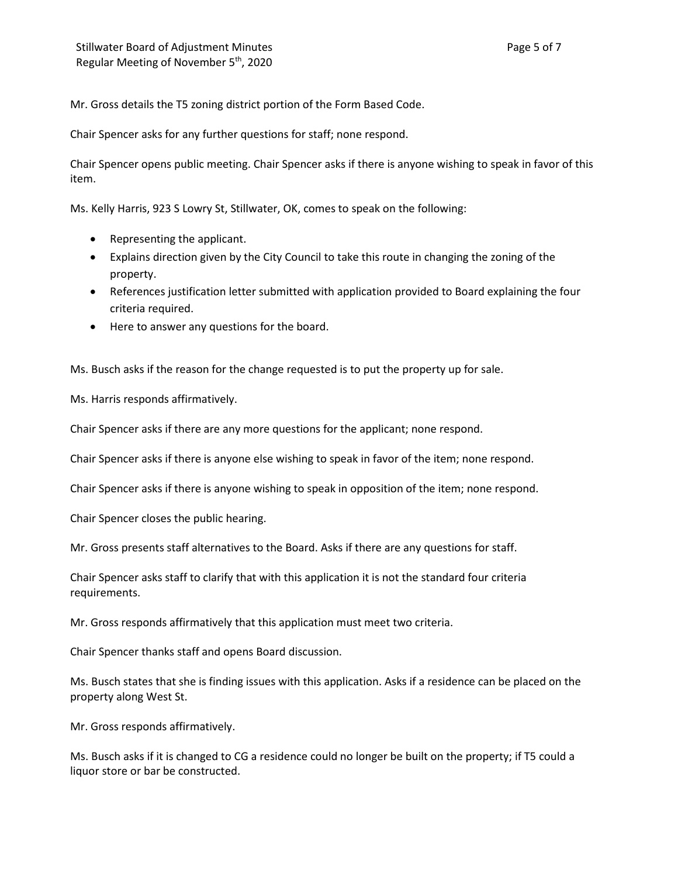Mr. Gross details the T5 zoning district portion of the Form Based Code.

Chair Spencer asks for any further questions for staff; none respond.

Chair Spencer opens public meeting. Chair Spencer asks if there is anyone wishing to speak in favor of this item.

Ms. Kelly Harris, 923 S Lowry St, Stillwater, OK, comes to speak on the following:

- Representing the applicant.
- Explains direction given by the City Council to take this route in changing the zoning of the property.
- References justification letter submitted with application provided to Board explaining the four criteria required.
- Here to answer any questions for the board.

Ms. Busch asks if the reason for the change requested is to put the property up for sale.

Ms. Harris responds affirmatively.

Chair Spencer asks if there are any more questions for the applicant; none respond.

Chair Spencer asks if there is anyone else wishing to speak in favor of the item; none respond.

Chair Spencer asks if there is anyone wishing to speak in opposition of the item; none respond.

Chair Spencer closes the public hearing.

Mr. Gross presents staff alternatives to the Board. Asks if there are any questions for staff.

Chair Spencer asks staff to clarify that with this application it is not the standard four criteria requirements.

Mr. Gross responds affirmatively that this application must meet two criteria.

Chair Spencer thanks staff and opens Board discussion.

Ms. Busch states that she is finding issues with this application. Asks if a residence can be placed on the property along West St.

Mr. Gross responds affirmatively.

Ms. Busch asks if it is changed to CG a residence could no longer be built on the property; if T5 could a liquor store or bar be constructed.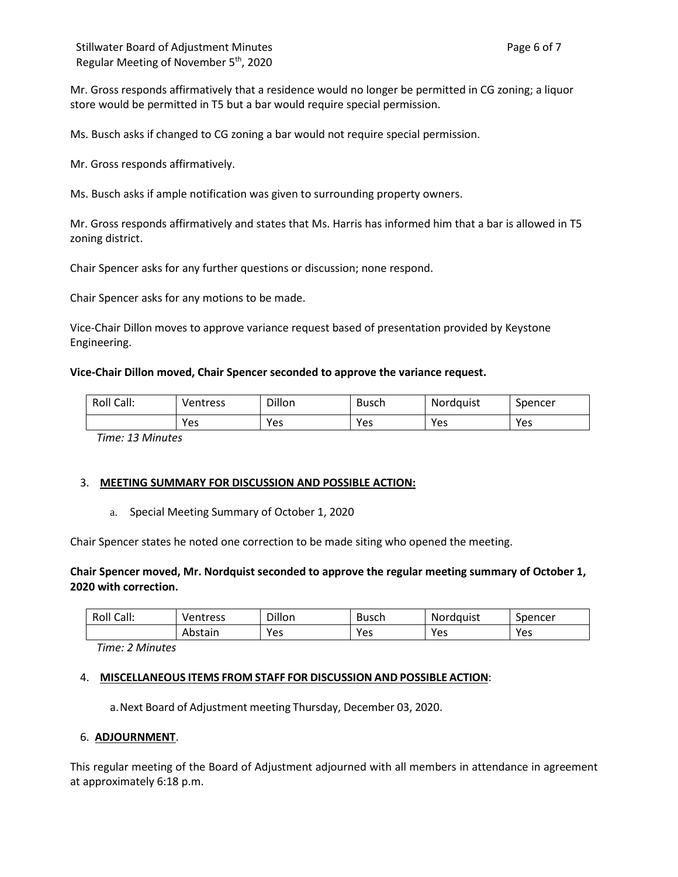Mr. Gross responds affirmatively that a residence would no longer be permitted in CG zoning; a liquor store would be permitted in T5 but a bar would require special permission.

Ms. Busch asks if changed to CG zoning a bar would not require special permission.

Mr. Gross responds affirmatively.

Ms. Busch asks if ample notification was given to surrounding property owners.

Mr. Gross responds affirmatively and states that Ms. Harris has informed him that a bar is allowed in T5 zoning district.

Chair Spencer asks for any further questions or discussion; none respond.

Chair Spencer asks for any motions to be made.

Vice-Chair Dillon moves to approve variance request based of presentation provided by Keystone Engineering.

#### **Vice-Chair Dillon moved, Chair Spencer seconded to approve the variance request.**

| Roll Call: | Ventress | Dillon | <b>Busch</b> | Nordquist | Spencer |
|------------|----------|--------|--------------|-----------|---------|
|            | Yes      | Yes    | Yes          | Yes       | Yes     |

*Time: 13 Minutes*

### 3. **MEETING SUMMARY FOR DISCUSSION AND POSSIBLE ACTION:**

#### a. Special Meeting Summary of October 1, 2020

Chair Spencer states he noted one correction to be made siting who opened the meeting.

## **Chair Spencer moved, Mr. Nordquist seconded to approve the regular meeting summary of October 1, 2020 with correction.**

| Roll Call: | Ventress | Dillon | <b>Busch</b> | <b>Nordauist</b> | Spencer |
|------------|----------|--------|--------------|------------------|---------|
|            | Abstain  | Yes    | Yes          | Yes              | Yes     |

*Time: 2 Minutes*

#### 4. **MISCELLANEOUS ITEMS FROM STAFF FOR DISCUSSION AND POSSIBLE ACTION**:

a.Next Board of Adjustment meeting Thursday, December 03, 2020.

### 6. **ADJOURNMENT**.

This regular meeting of the Board of Adjustment adjourned with all members in attendance in agreement at approximately 6:18 p.m.